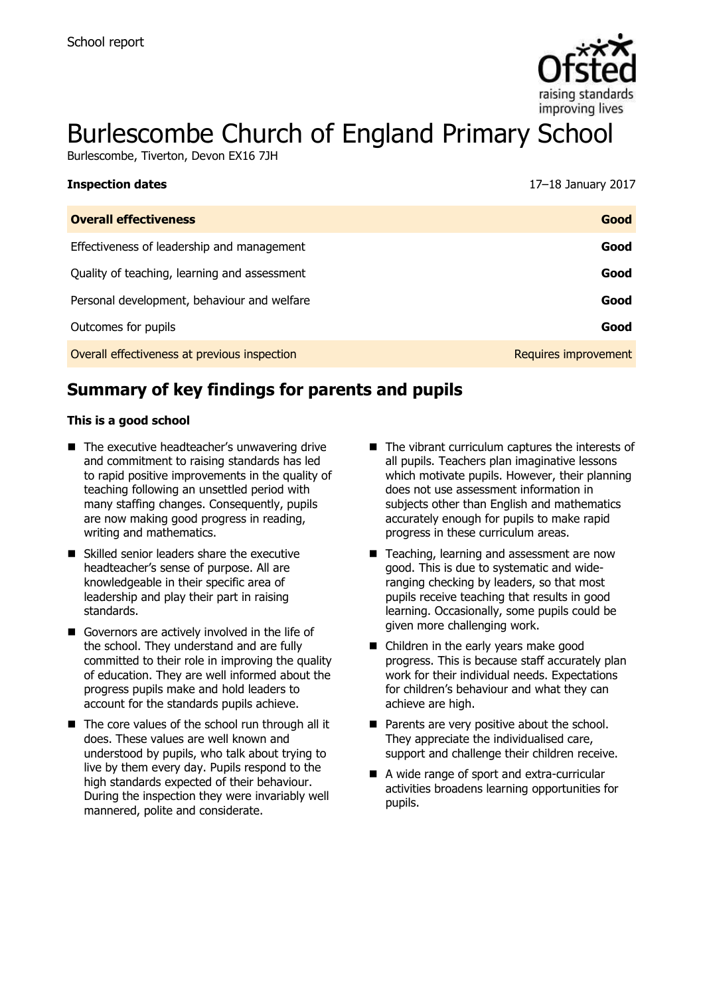

# Burlescombe Church of England Primary School

Burlescombe, Tiverton, Devon EX16 7JH

| <b>Inspection dates</b>                      | 17-18 January 2017   |
|----------------------------------------------|----------------------|
| <b>Overall effectiveness</b>                 | Good                 |
| Effectiveness of leadership and management   | Good                 |
| Quality of teaching, learning and assessment | Good                 |
| Personal development, behaviour and welfare  | Good                 |
| Outcomes for pupils                          | Good                 |
| Overall effectiveness at previous inspection | Requires improvement |

# **Summary of key findings for parents and pupils**

#### **This is a good school**

- The executive headteacher's unwavering drive and commitment to raising standards has led to rapid positive improvements in the quality of teaching following an unsettled period with many staffing changes. Consequently, pupils are now making good progress in reading, writing and mathematics.
- Skilled senior leaders share the executive headteacher's sense of purpose. All are knowledgeable in their specific area of leadership and play their part in raising standards.
- Governors are actively involved in the life of the school. They understand and are fully committed to their role in improving the quality of education. They are well informed about the progress pupils make and hold leaders to account for the standards pupils achieve.
- The core values of the school run through all it does. These values are well known and understood by pupils, who talk about trying to live by them every day. Pupils respond to the high standards expected of their behaviour. During the inspection they were invariably well mannered, polite and considerate.
- $\blacksquare$  The vibrant curriculum captures the interests of all pupils. Teachers plan imaginative lessons which motivate pupils. However, their planning does not use assessment information in subjects other than English and mathematics accurately enough for pupils to make rapid progress in these curriculum areas.
- Teaching, learning and assessment are now good. This is due to systematic and wideranging checking by leaders, so that most pupils receive teaching that results in good learning. Occasionally, some pupils could be given more challenging work.
- Children in the early years make good progress. This is because staff accurately plan work for their individual needs. Expectations for children's behaviour and what they can achieve are high.
- Parents are very positive about the school. They appreciate the individualised care, support and challenge their children receive.
- A wide range of sport and extra-curricular activities broadens learning opportunities for pupils.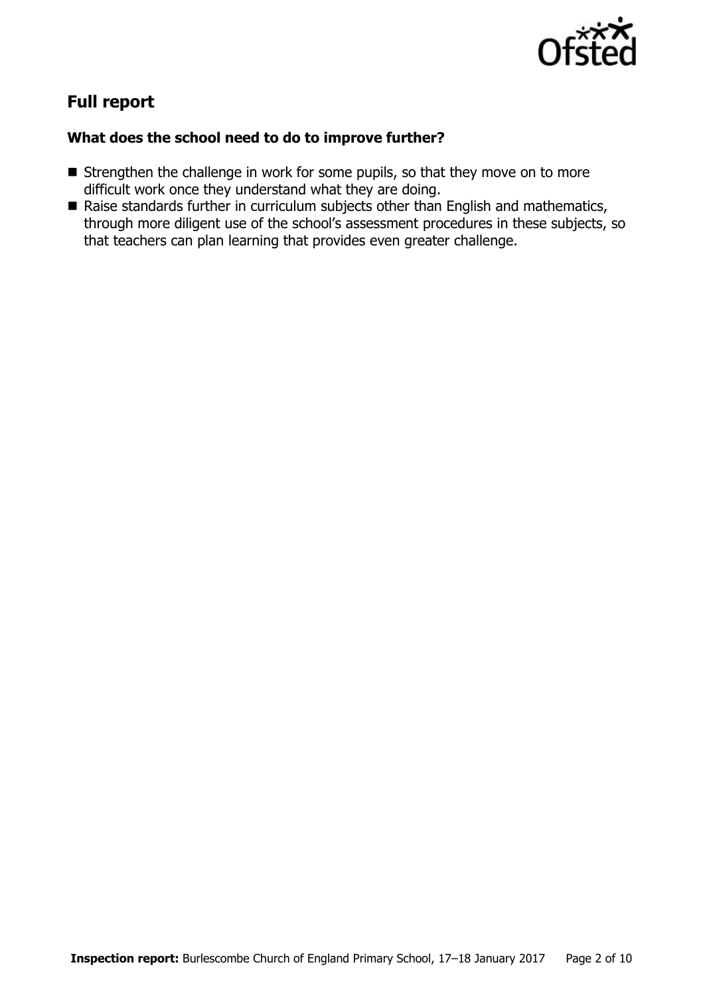

# **Full report**

### **What does the school need to do to improve further?**

- Strengthen the challenge in work for some pupils, so that they move on to more difficult work once they understand what they are doing.
- Raise standards further in curriculum subjects other than English and mathematics, through more diligent use of the school's assessment procedures in these subjects, so that teachers can plan learning that provides even greater challenge.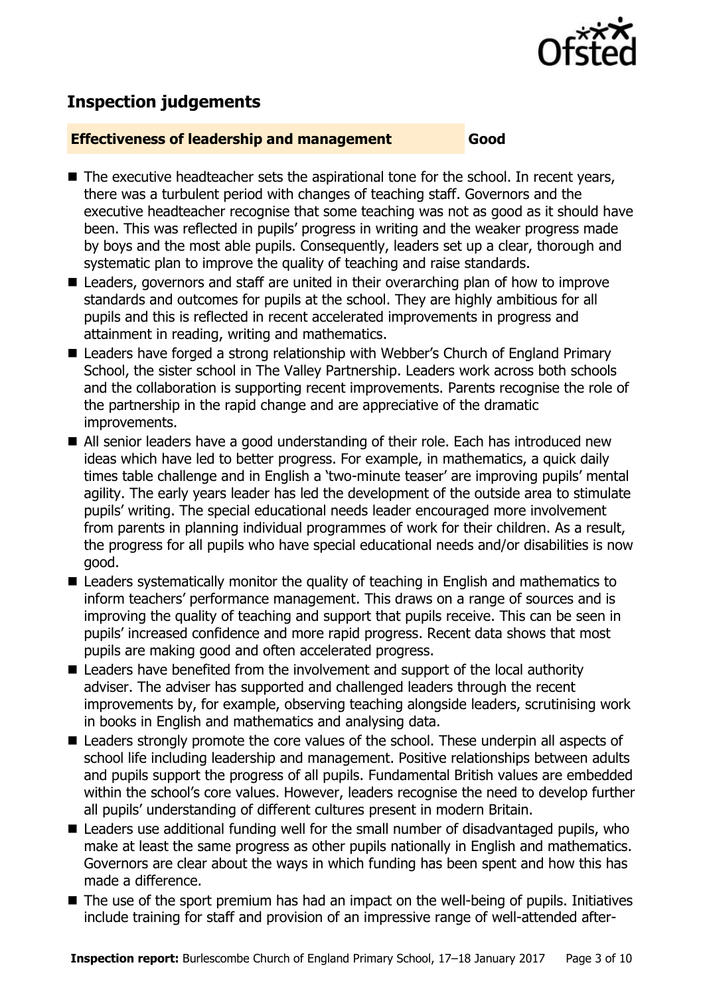

# **Inspection judgements**

#### **Effectiveness of leadership and management Good**

- The executive headteacher sets the aspirational tone for the school. In recent years, there was a turbulent period with changes of teaching staff. Governors and the executive headteacher recognise that some teaching was not as good as it should have been. This was reflected in pupils' progress in writing and the weaker progress made by boys and the most able pupils. Consequently, leaders set up a clear, thorough and systematic plan to improve the quality of teaching and raise standards.
- Leaders, governors and staff are united in their overarching plan of how to improve standards and outcomes for pupils at the school. They are highly ambitious for all pupils and this is reflected in recent accelerated improvements in progress and attainment in reading, writing and mathematics.
- Leaders have forged a strong relationship with Webber's Church of England Primary School, the sister school in The Valley Partnership. Leaders work across both schools and the collaboration is supporting recent improvements. Parents recognise the role of the partnership in the rapid change and are appreciative of the dramatic improvements.
- All senior leaders have a good understanding of their role. Each has introduced new ideas which have led to better progress. For example, in mathematics, a quick daily times table challenge and in English a 'two-minute teaser' are improving pupils' mental agility. The early years leader has led the development of the outside area to stimulate pupils' writing. The special educational needs leader encouraged more involvement from parents in planning individual programmes of work for their children. As a result, the progress for all pupils who have special educational needs and/or disabilities is now good.
- Leaders systematically monitor the quality of teaching in English and mathematics to inform teachers' performance management. This draws on a range of sources and is improving the quality of teaching and support that pupils receive. This can be seen in pupils' increased confidence and more rapid progress. Recent data shows that most pupils are making good and often accelerated progress.
- Leaders have benefited from the involvement and support of the local authority adviser. The adviser has supported and challenged leaders through the recent improvements by, for example, observing teaching alongside leaders, scrutinising work in books in English and mathematics and analysing data.
- Leaders strongly promote the core values of the school. These underpin all aspects of school life including leadership and management. Positive relationships between adults and pupils support the progress of all pupils. Fundamental British values are embedded within the school's core values. However, leaders recognise the need to develop further all pupils' understanding of different cultures present in modern Britain.
- Leaders use additional funding well for the small number of disadvantaged pupils, who make at least the same progress as other pupils nationally in English and mathematics. Governors are clear about the ways in which funding has been spent and how this has made a difference.
- The use of the sport premium has had an impact on the well-being of pupils. Initiatives include training for staff and provision of an impressive range of well-attended after-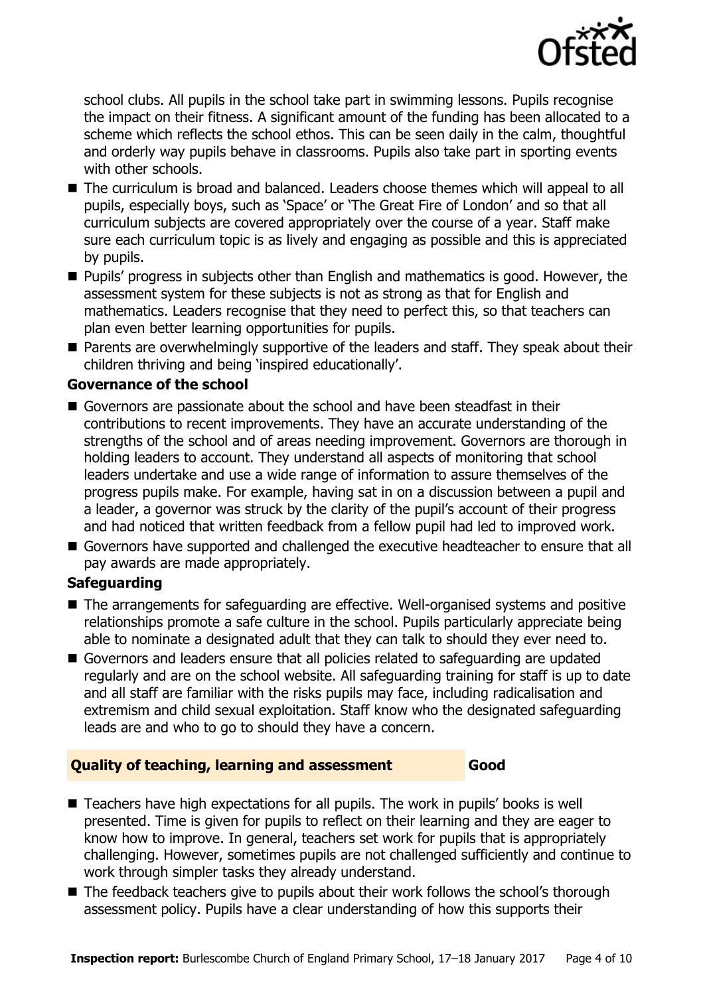

school clubs. All pupils in the school take part in swimming lessons. Pupils recognise the impact on their fitness. A significant amount of the funding has been allocated to a scheme which reflects the school ethos. This can be seen daily in the calm, thoughtful and orderly way pupils behave in classrooms. Pupils also take part in sporting events with other schools.

- The curriculum is broad and balanced. Leaders choose themes which will appeal to all pupils, especially boys, such as 'Space' or 'The Great Fire of London' and so that all curriculum subjects are covered appropriately over the course of a year. Staff make sure each curriculum topic is as lively and engaging as possible and this is appreciated by pupils.
- **Pupils' progress in subjects other than English and mathematics is good. However, the** assessment system for these subjects is not as strong as that for English and mathematics. Leaders recognise that they need to perfect this, so that teachers can plan even better learning opportunities for pupils.
- **Parents are overwhelmingly supportive of the leaders and staff. They speak about their** children thriving and being 'inspired educationally'.

### **Governance of the school**

- Governors are passionate about the school and have been steadfast in their contributions to recent improvements. They have an accurate understanding of the strengths of the school and of areas needing improvement. Governors are thorough in holding leaders to account. They understand all aspects of monitoring that school leaders undertake and use a wide range of information to assure themselves of the progress pupils make. For example, having sat in on a discussion between a pupil and a leader, a governor was struck by the clarity of the pupil's account of their progress and had noticed that written feedback from a fellow pupil had led to improved work.
- Governors have supported and challenged the executive headteacher to ensure that all pay awards are made appropriately.

#### **Safeguarding**

- The arrangements for safeguarding are effective. Well-organised systems and positive relationships promote a safe culture in the school. Pupils particularly appreciate being able to nominate a designated adult that they can talk to should they ever need to.
- Governors and leaders ensure that all policies related to safeguarding are updated regularly and are on the school website. All safeguarding training for staff is up to date and all staff are familiar with the risks pupils may face, including radicalisation and extremism and child sexual exploitation. Staff know who the designated safeguarding leads are and who to go to should they have a concern.

#### **Quality of teaching, learning and assessment Good**

- Teachers have high expectations for all pupils. The work in pupils' books is well presented. Time is given for pupils to reflect on their learning and they are eager to know how to improve. In general, teachers set work for pupils that is appropriately challenging. However, sometimes pupils are not challenged sufficiently and continue to work through simpler tasks they already understand.
- The feedback teachers give to pupils about their work follows the school's thorough assessment policy. Pupils have a clear understanding of how this supports their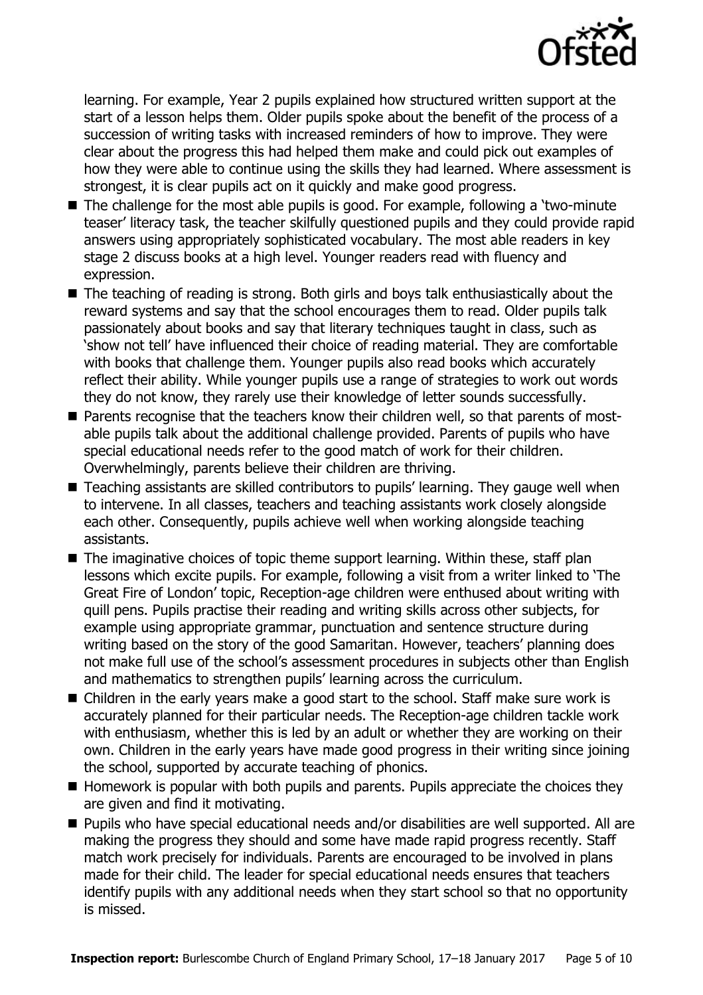

learning. For example, Year 2 pupils explained how structured written support at the start of a lesson helps them. Older pupils spoke about the benefit of the process of a succession of writing tasks with increased reminders of how to improve. They were clear about the progress this had helped them make and could pick out examples of how they were able to continue using the skills they had learned. Where assessment is strongest, it is clear pupils act on it quickly and make good progress.

- The challenge for the most able pupils is good. For example, following a 'two-minute teaser' literacy task, the teacher skilfully questioned pupils and they could provide rapid answers using appropriately sophisticated vocabulary. The most able readers in key stage 2 discuss books at a high level. Younger readers read with fluency and expression.
- The teaching of reading is strong. Both girls and boys talk enthusiastically about the reward systems and say that the school encourages them to read. Older pupils talk passionately about books and say that literary techniques taught in class, such as 'show not tell' have influenced their choice of reading material. They are comfortable with books that challenge them. Younger pupils also read books which accurately reflect their ability. While younger pupils use a range of strategies to work out words they do not know, they rarely use their knowledge of letter sounds successfully.
- Parents recognise that the teachers know their children well, so that parents of mostable pupils talk about the additional challenge provided. Parents of pupils who have special educational needs refer to the good match of work for their children. Overwhelmingly, parents believe their children are thriving.
- Teaching assistants are skilled contributors to pupils' learning. They gauge well when to intervene. In all classes, teachers and teaching assistants work closely alongside each other. Consequently, pupils achieve well when working alongside teaching assistants.
- $\blacksquare$  The imaginative choices of topic theme support learning. Within these, staff plan lessons which excite pupils. For example, following a visit from a writer linked to 'The Great Fire of London' topic, Reception-age children were enthused about writing with quill pens. Pupils practise their reading and writing skills across other subjects, for example using appropriate grammar, punctuation and sentence structure during writing based on the story of the good Samaritan. However, teachers' planning does not make full use of the school's assessment procedures in subjects other than English and mathematics to strengthen pupils' learning across the curriculum.
- Children in the early years make a good start to the school. Staff make sure work is accurately planned for their particular needs. The Reception-age children tackle work with enthusiasm, whether this is led by an adult or whether they are working on their own. Children in the early years have made good progress in their writing since joining the school, supported by accurate teaching of phonics.
- $\blacksquare$  Homework is popular with both pupils and parents. Pupils appreciate the choices they are given and find it motivating.
- Pupils who have special educational needs and/or disabilities are well supported. All are making the progress they should and some have made rapid progress recently. Staff match work precisely for individuals. Parents are encouraged to be involved in plans made for their child. The leader for special educational needs ensures that teachers identify pupils with any additional needs when they start school so that no opportunity is missed.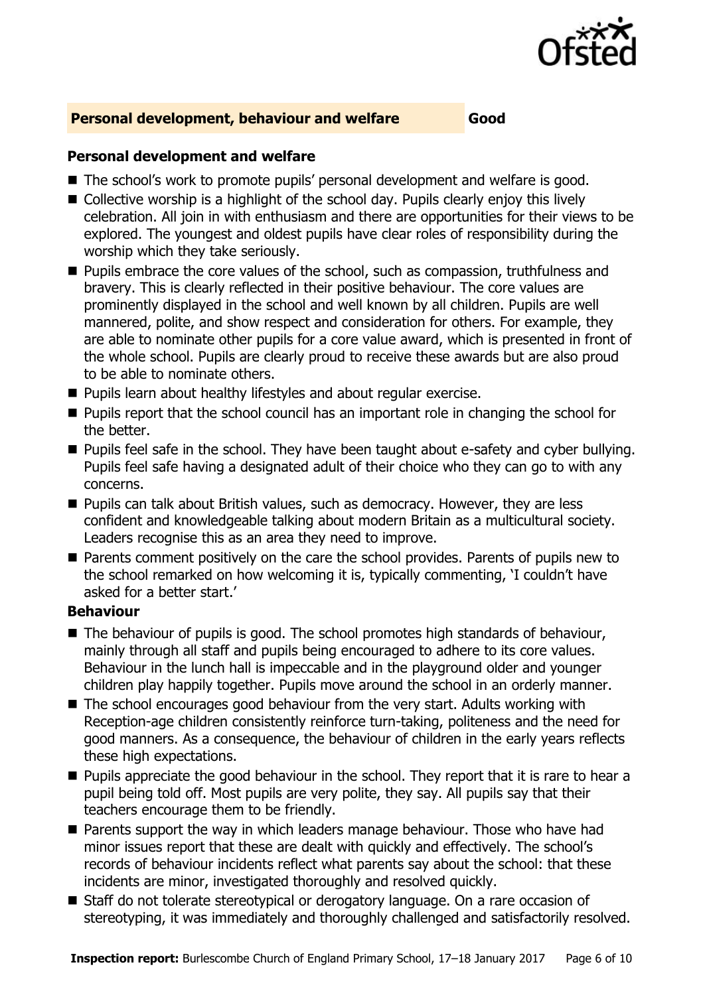

#### **Personal development, behaviour and welfare Good**

#### **Personal development and welfare**

- The school's work to promote pupils' personal development and welfare is good.
- Collective worship is a highlight of the school day. Pupils clearly enjoy this lively celebration. All join in with enthusiasm and there are opportunities for their views to be explored. The youngest and oldest pupils have clear roles of responsibility during the worship which they take seriously.
- **Pupils embrace the core values of the school, such as compassion, truthfulness and** bravery. This is clearly reflected in their positive behaviour. The core values are prominently displayed in the school and well known by all children. Pupils are well mannered, polite, and show respect and consideration for others. For example, they are able to nominate other pupils for a core value award, which is presented in front of the whole school. Pupils are clearly proud to receive these awards but are also proud to be able to nominate others.
- **Pupils learn about healthy lifestyles and about regular exercise.**
- **Pupils report that the school council has an important role in changing the school for** the better.
- **Pupils feel safe in the school. They have been taught about e-safety and cyber bullying.** Pupils feel safe having a designated adult of their choice who they can go to with any concerns.
- **Pupils can talk about British values, such as democracy. However, they are less** confident and knowledgeable talking about modern Britain as a multicultural society. Leaders recognise this as an area they need to improve.
- **Parents comment positively on the care the school provides. Parents of pupils new to** the school remarked on how welcoming it is, typically commenting, 'I couldn't have asked for a better start.'

#### **Behaviour**

- The behaviour of pupils is good. The school promotes high standards of behaviour, mainly through all staff and pupils being encouraged to adhere to its core values. Behaviour in the lunch hall is impeccable and in the playground older and younger children play happily together. Pupils move around the school in an orderly manner.
- The school encourages good behaviour from the very start. Adults working with Reception-age children consistently reinforce turn-taking, politeness and the need for good manners. As a consequence, the behaviour of children in the early years reflects these high expectations.
- **Pupils appreciate the good behaviour in the school. They report that it is rare to hear a** pupil being told off. Most pupils are very polite, they say. All pupils say that their teachers encourage them to be friendly.
- **Parents support the way in which leaders manage behaviour. Those who have had** minor issues report that these are dealt with quickly and effectively. The school's records of behaviour incidents reflect what parents say about the school: that these incidents are minor, investigated thoroughly and resolved quickly.
- Staff do not tolerate stereotypical or derogatory language. On a rare occasion of stereotyping, it was immediately and thoroughly challenged and satisfactorily resolved.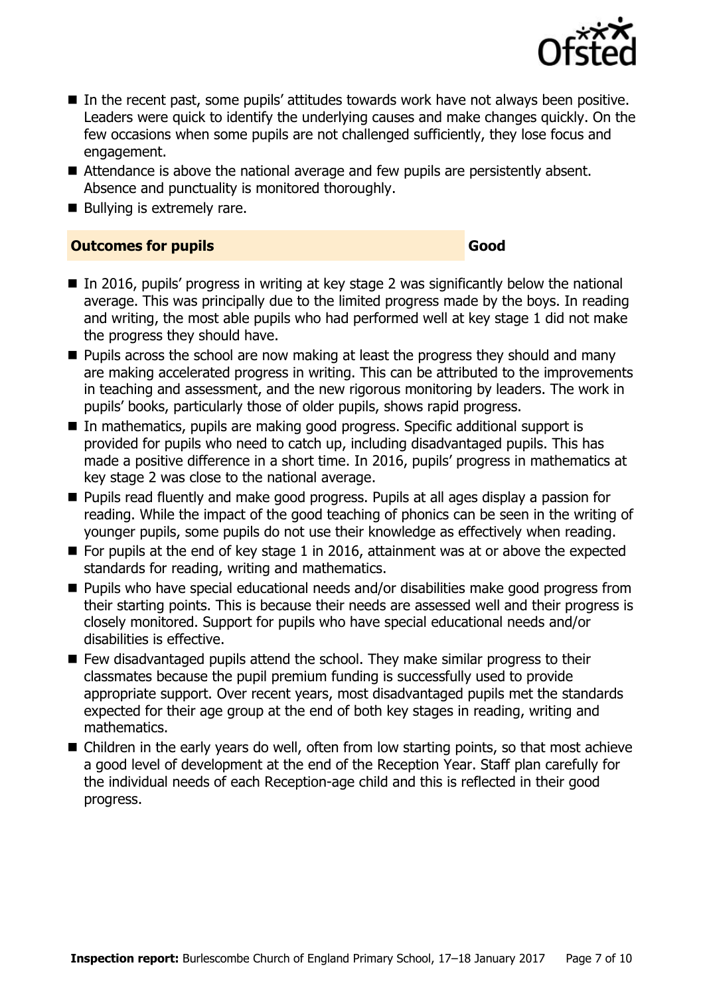

- In the recent past, some pupils' attitudes towards work have not always been positive. Leaders were quick to identify the underlying causes and make changes quickly. On the few occasions when some pupils are not challenged sufficiently, they lose focus and engagement.
- Attendance is above the national average and few pupils are persistently absent. Absence and punctuality is monitored thoroughly.
- Bullying is extremely rare.

#### **Outcomes for pupils Good Good**

- $\blacksquare$  In 2016, pupils' progress in writing at key stage 2 was significantly below the national average. This was principally due to the limited progress made by the boys. In reading and writing, the most able pupils who had performed well at key stage 1 did not make the progress they should have.
- **Pupils across the school are now making at least the progress they should and many** are making accelerated progress in writing. This can be attributed to the improvements in teaching and assessment, and the new rigorous monitoring by leaders. The work in pupils' books, particularly those of older pupils, shows rapid progress.
- In mathematics, pupils are making good progress. Specific additional support is provided for pupils who need to catch up, including disadvantaged pupils. This has made a positive difference in a short time. In 2016, pupils' progress in mathematics at key stage 2 was close to the national average.
- Pupils read fluently and make good progress. Pupils at all ages display a passion for reading. While the impact of the good teaching of phonics can be seen in the writing of younger pupils, some pupils do not use their knowledge as effectively when reading.
- $\blacksquare$  For pupils at the end of key stage 1 in 2016, attainment was at or above the expected standards for reading, writing and mathematics.
- Pupils who have special educational needs and/or disabilities make good progress from their starting points. This is because their needs are assessed well and their progress is closely monitored. Support for pupils who have special educational needs and/or disabilities is effective.
- Few disadvantaged pupils attend the school. They make similar progress to their classmates because the pupil premium funding is successfully used to provide appropriate support. Over recent years, most disadvantaged pupils met the standards expected for their age group at the end of both key stages in reading, writing and mathematics.
- Children in the early years do well, often from low starting points, so that most achieve a good level of development at the end of the Reception Year. Staff plan carefully for the individual needs of each Reception-age child and this is reflected in their good progress.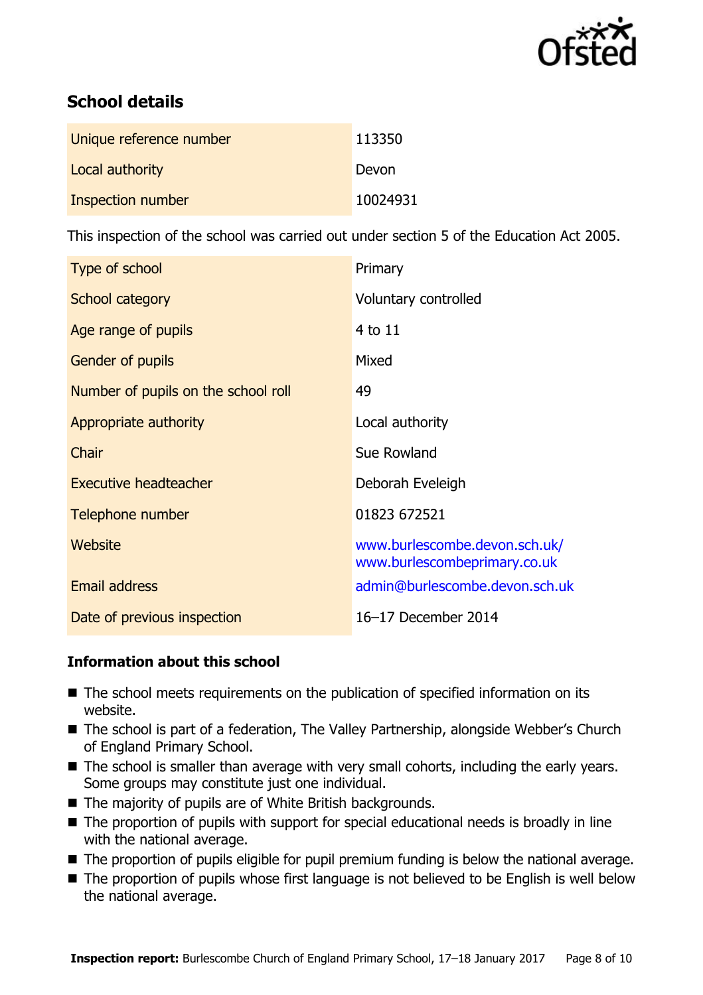

# **School details**

| Unique reference number | 113350   |
|-------------------------|----------|
| Local authority         | Devon    |
| Inspection number       | 10024931 |

This inspection of the school was carried out under section 5 of the Education Act 2005.

| Type of school                      | Primary                                                       |
|-------------------------------------|---------------------------------------------------------------|
| School category                     | Voluntary controlled                                          |
| Age range of pupils                 | 4 to 11                                                       |
| <b>Gender of pupils</b>             | Mixed                                                         |
| Number of pupils on the school roll | 49                                                            |
| Appropriate authority               | Local authority                                               |
| Chair                               | Sue Rowland                                                   |
| Executive headteacher               | Deborah Eveleigh                                              |
| Telephone number                    | 01823 672521                                                  |
| Website                             | www.burlescombe.devon.sch.uk/<br>www.burlescombeprimary.co.uk |
| <b>Email address</b>                | admin@burlescombe.devon.sch.uk                                |
| Date of previous inspection         | 16-17 December 2014                                           |

#### **Information about this school**

- The school meets requirements on the publication of specified information on its website.
- The school is part of a federation, The Valley Partnership, alongside Webber's Church of England Primary School.
- The school is smaller than average with very small cohorts, including the early years. Some groups may constitute just one individual.
- The majority of pupils are of White British backgrounds.
- The proportion of pupils with support for special educational needs is broadly in line with the national average.
- The proportion of pupils eligible for pupil premium funding is below the national average.
- The proportion of pupils whose first language is not believed to be English is well below the national average.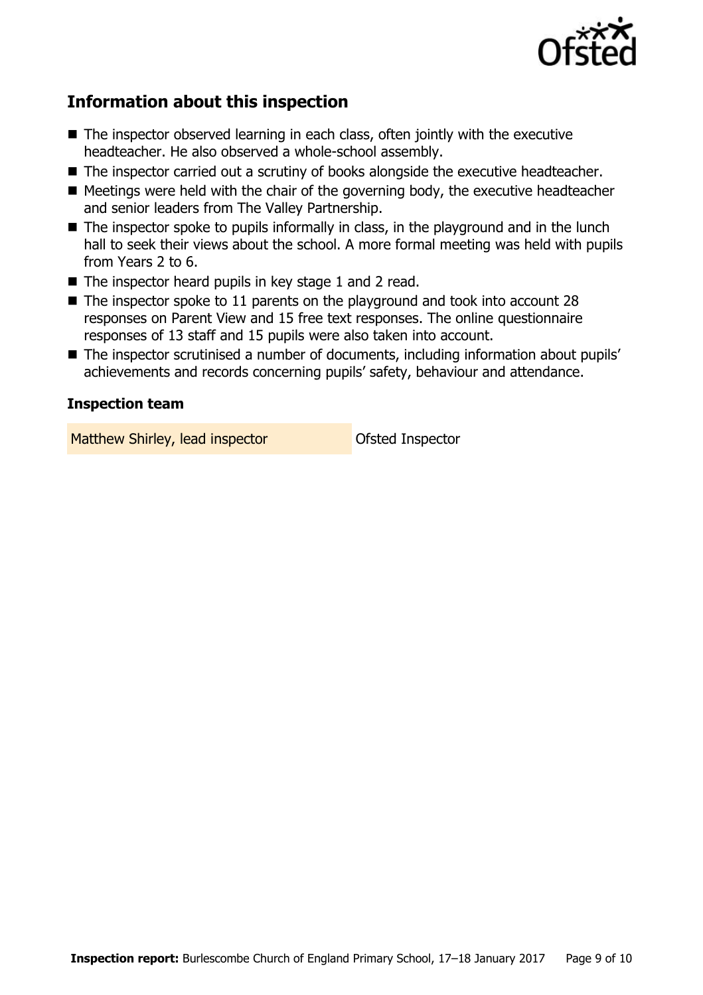

# **Information about this inspection**

- The inspector observed learning in each class, often jointly with the executive headteacher. He also observed a whole-school assembly.
- The inspector carried out a scrutiny of books alongside the executive headteacher.
- $\blacksquare$  Meetings were held with the chair of the governing body, the executive headteacher and senior leaders from The Valley Partnership.
- $\blacksquare$  The inspector spoke to pupils informally in class, in the playground and in the lunch hall to seek their views about the school. A more formal meeting was held with pupils from Years 2 to 6.
- The inspector heard pupils in key stage 1 and 2 read.
- $\blacksquare$  The inspector spoke to 11 parents on the playground and took into account 28 responses on Parent View and 15 free text responses. The online questionnaire responses of 13 staff and 15 pupils were also taken into account.
- The inspector scrutinised a number of documents, including information about pupils' achievements and records concerning pupils' safety, behaviour and attendance.

#### **Inspection team**

Matthew Shirley, lead inspector **Constant Constant** Ofsted Inspector